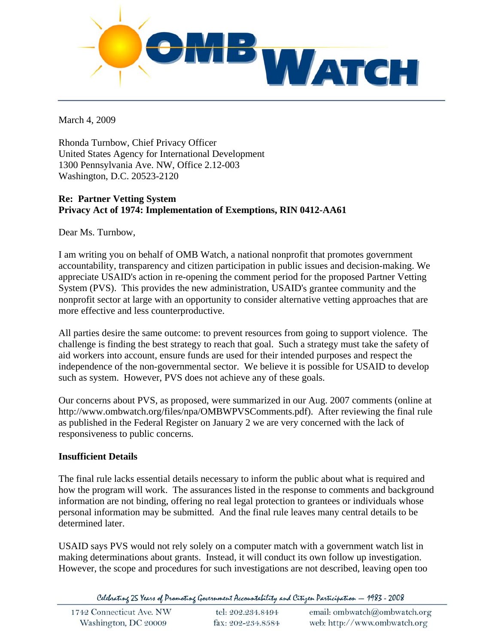

March 4, 2009

Rhonda Turnbow, Chief Privacy Officer United States Agency for International Development 1300 Pennsylvania Ave. NW, Office 2.12-003 Washington, D.C. 20523-2120

# **Re: Partner Vetting System Privacy Act of 1974: Implementation of Exemptions, RIN 0412-AA61**

Dear Ms. Turnbow,

I am writing you on behalf of OMB Watch, a national nonprofit that promotes government accountability, transparency and citizen participation in public issues and decision-making. We appreciate USAID's action in re-opening the comment period for the proposed Partner Vetting System (PVS). This provides the new administration, USAID's grantee community and the nonprofit sector at large with an opportunity to consider alternative vetting approaches that are more effective and less counterproductive.

All parties desire the same outcome: to prevent resources from going to support violence. The challenge is finding the best strategy to reach that goal. Such a strategy must take the safety of aid workers into account, ensure funds are used for their intended purposes and respect the independence of the non-governmental sector. We believe it is possible for USAID to develop such as system. However, PVS does not achieve any of these goals.

Our concerns about PVS, as proposed, were summarized in our Aug. 2007 comments (online at http://www.ombwatch.org/files/npa/OMBWPVSComments.pdf). After reviewing the final rule as published in the Federal Register on January 2 we are very concerned with the lack of responsiveness to public concerns.

## **Insufficient Details**

The final rule lacks essential details necessary to inform the public about what is required and how the program will work. The assurances listed in the response to comments and background information are not binding, offering no real legal protection to grantees or individuals whose personal information may be submitted. And the final rule leaves many central details to be determined later.

USAID says PVS would not rely solely on a computer match with a government watch list in making determinations about grants. Instead, it will conduct its own follow up investigation. However, the scope and procedures for such investigations are not described, leaving open too

Celebrating 25 Years of Promoting Government Accountability and Citizen Participation - 1983 - 2008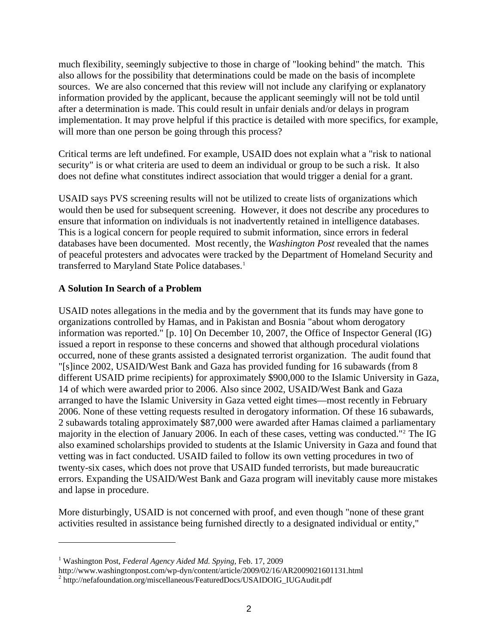much flexibility, seemingly subjective to those in charge of "looking behind" the match. This also allows for the possibility that determinations could be made on the basis of incomplete sources. We are also concerned that this review will not include any clarifying or explanatory information provided by the applicant, because the applicant seemingly will not be told until after a determination is made. This could result in unfair denials and/or delays in program implementation. It may prove helpful if this practice is detailed with more specifics, for example, will more than one person be going through this process?

Critical terms are left undefined. For example, USAID does not explain what a "risk to national security" is or what criteria are used to deem an individual or group to be such a risk. It also does not define what constitutes indirect association that would trigger a denial for a grant.

USAID says PVS screening results will not be utilized to create lists of organizations which would then be used for subsequent screening. However, it does not describe any procedures to ensure that information on individuals is not inadvertently retained in intelligence databases. This is a logical concern for people required to submit information, since errors in federal databases have been documented. Most recently, the *Washington Post* revealed that the names of peaceful protesters and advocates were track[ed](#page-1-0) by the Department of Homeland Security and transferred to Maryland State Police databases.<sup>1</sup>

## **A Solution In Search of a Problem**

USAID notes allegations in the media and by the government that its funds may have gone to organizations controlled by Hamas, and in Pakistan and Bosnia "about whom derogatory information was reported." [p. 10] On December 10, 2007, the Office of Inspector General (IG) issued a report in response to these concerns and showed that although procedural violations occurred, none of these grants assisted a designated terrorist organization. The audit found that "[s]ince 2002, USAID/West Bank and Gaza has provided funding for 16 subawards (from 8 different USAID prime recipients) for approximately \$900,000 to the Islamic University in Gaza, 14 of which were awarded prior to 2006. Also since 2002, USAID/West Bank and Gaza arranged to have the Islamic University in Gaza vetted eight times—most recently in February 2006. None of these vetting requests resulted in derogatory information. Of these 16 subawards, 2 subawards totaling approximately \$87,000 were awarded after Hamas claimed a parliamentary majority in the election of January 2006. In each of these cases, vetting was conducted."[2](#page-1-1) The IG also examined scholarships provided to students at the Islamic University in Gaza and found that vetting was in fact conducted. USAID failed to follow its own vetting procedures in two of twenty-six cases, which does not prove that USAID funded terrorists, but made bureaucratic errors. Expanding the USAID/West Bank and Gaza program will inevitably cause more mistakes and lapse in procedure.

More disturbingly, USAID is not concerned with proof, and even though "none of these grant activities resulted in assistance being furnished directly to a designated individual or entity,"

<span id="page-1-0"></span><sup>1</sup> Washington Post, *Federal Agency Aided Md. Spying*, Feb. 17, 2009

http://www.washingtonpost.com/wp-dyn/content/article/2009/02/16/AR2009021601131.html 2

<span id="page-1-1"></span><sup>&</sup>lt;sup>2</sup> http://nefafoundation.org/miscellaneous/FeaturedDocs/USAIDOIG\_IUGAudit.pdf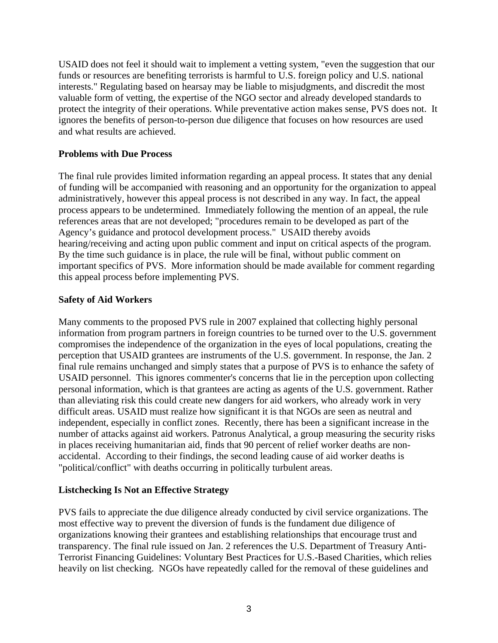USAID does not feel it should wait to implement a vetting system, "even the suggestion that our funds or resources are benefiting terrorists is harmful to U.S. foreign policy and U.S. national interests." Regulating based on hearsay may be liable to misjudgments, and discredit the most valuable form of vetting, the expertise of the NGO sector and already developed standards to protect the integrity of their operations. While preventative action makes sense, PVS does not. It ignores the benefits of person-to-person due diligence that focuses on how resources are used and what results are achieved.

### **Problems with Due Process**

The final rule provides limited information regarding an appeal process. It states that any denial of funding will be accompanied with reasoning and an opportunity for the organization to appeal administratively, however this appeal process is not described in any way. In fact, the appeal process appears to be undetermined. Immediately following the mention of an appeal, the rule references areas that are not developed; "procedures remain to be developed as part of the Agency's guidance and protocol development process." USAID thereby avoids hearing/receiving and acting upon public comment and input on critical aspects of the program. By the time such guidance is in place, the rule will be final, without public comment on important specifics of PVS. More information should be made available for comment regarding this appeal process before implementing PVS.

### **Safety of Aid Workers**

Many comments to the proposed PVS rule in 2007 explained that collecting highly personal information from program partners in foreign countries to be turned over to the U.S. government compromises the independence of the organization in the eyes of local populations, creating the perception that USAID grantees are instruments of the U.S. government. In response, the Jan. 2 final rule remains unchanged and simply states that a purpose of PVS is to enhance the safety of USAID personnel. This ignores commenter's concerns that lie in the perception upon collecting personal information, which is that grantees are acting as agents of the U.S. government. Rather than alleviating risk this could create new dangers for aid workers, who already work in very difficult areas. USAID must realize how significant it is that NGOs are seen as neutral and independent, especially in conflict zones. Recently, there has been a significant increase in the number of attacks against aid workers. Patronus Analytical, a group measuring the security risks in places receiving humanitarian aid, finds that 90 percent of relief worker deaths are nonaccidental. According to their findings, the second leading cause of aid worker deaths is "political/conflict" with deaths occurring in politically turbulent areas.

#### **Listchecking Is Not an Effective Strategy**

PVS fails to appreciate the due diligence already conducted by civil service organizations. The most effective way to prevent the diversion of funds is the fundament due diligence of organizations knowing their grantees and establishing relationships that encourage trust and transparency. The final rule issued on Jan. 2 references the U.S. Department of Treasury Anti-Terrorist Financing Guidelines: Voluntary Best Practices for U.S.-Based Charities, which relies heavily on list checking. NGOs have repeatedly called for the removal of these guidelines and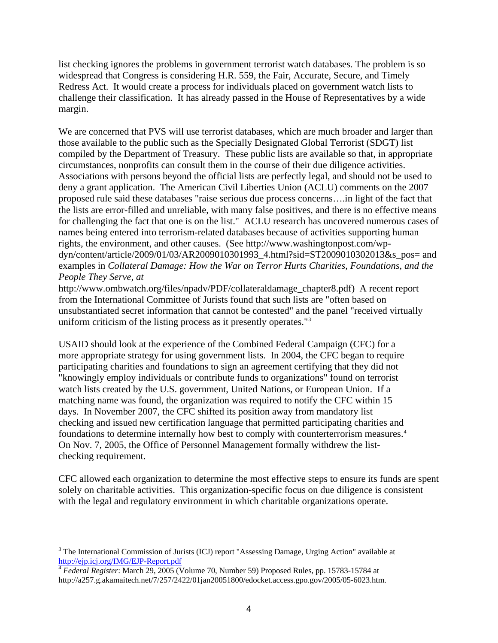list checking ignores the problems in government terrorist watch databases. The problem is so widespread that Congress is considering H.R. 559, the Fair, Accurate, Secure, and Timely Redress Act. It would create a process for individuals placed on government watch lists to challenge their classification. It has already passed in the House of Representatives by a wide margin.

We are concerned that PVS will use terrorist databases, which are much broader and larger than those available to the public such as the Specially Designated Global Terrorist (SDGT) list compiled by the Department of Treasury. These public lists are available so that, in appropriate circumstances, nonprofits can consult them in the course of their due diligence activities. Associations with persons beyond the official lists are perfectly legal, and should not be used to deny a grant application. The American Civil Liberties Union (ACLU) comments on the 2007 proposed rule said these databases "raise serious due process concerns….in light of the fact that the lists are error-filled and unreliable, with many false positives, and there is no effective means for challenging the fact that one is on the list." ACLU research has uncovered numerous cases of names being entered into terrorism-related databases because of activities supporting human rights, the environment, and other causes. (See http://www.washingtonpost.com/wpdyn/content/article/2009/01/03/AR2009010301993\_4.html?sid=ST2009010302013&s\_pos= and examples in *Collateral Damage: How the War on Terror Hurts Charities, Foundations, and the People They Serve, at* 

http://www.ombwatch.org/files/npadv/PDF/collateraldamage\_chapter8.pdf) A recent report from the International Committee of Jurists found that such lists are "often based on unsubstantiated secret information that cannot be contested" and the panel "received virtually uniform criticism of the listing process as it presently operates."[3](#page-3-0)

USAID should look at the experience of the Combined Federal Campaign (CFC) for a more appropriate strategy for using government lists. In 2004, the CFC began to require participating charities and foundations to sign an agreement certifying that they did not "knowingly employ individuals or contribute funds to organizations" found on terrorist watch lists created by the U.S. government, United Nations, or European Union. If a matching name was found, the organization was required to notify the CFC within 15 days. In November 2007, the CFC shifted its position away from mandatory list checking and issued new certification language that permitted participating charities and foundations to determine internally how best to comply with counterterrorism measures.[4](#page-3-1) On Nov. 7, 2005, the Office of Personnel Management formally withdrew the listchecking requirement.

CFC allowed each organization to determine the most effective steps to ensure its funds are spent solely on charitable activities. This organization-specific focus on due diligence is consistent with the legal and regulatory environment in which charitable organizations operate.

<span id="page-3-0"></span><sup>&</sup>lt;sup>3</sup> The International Commission of Jurists (ICJ) report "Assessing Damage, Urging Action" available at <http://ejp.icj.org/IMG/EJP-Report.pdf>

<span id="page-3-1"></span><sup>4</sup> *Federal Register*: March 29, 2005 (Volume 70, Number 59) Proposed Rules, pp. 15783-15784 at http://a257.g.akamaitech.net/7/257/2422/01jan20051800/edocket.access.gpo.gov/2005/05-6023.htm.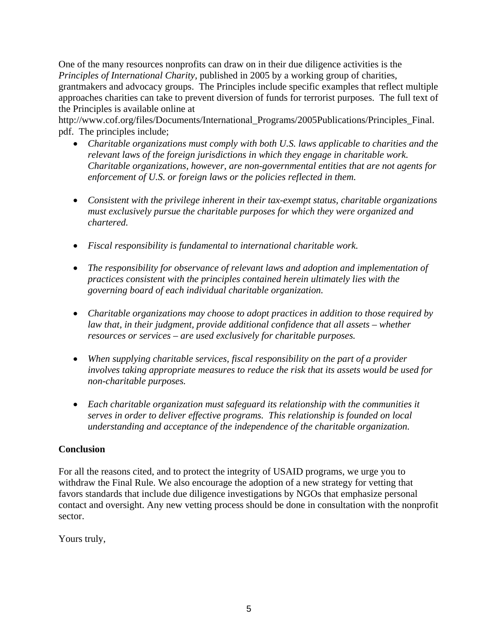One of the many resources nonprofits can draw on in their due diligence activities is the *Principles of International Charity,* published in 2005 by a working group of charities, grantmakers and advocacy groups. The Principles include specific examples that reflect multiple approaches charities can take to prevent diversion of funds for terrorist purposes. The full text of the Principles is available online at

http://www.cof.org/files/Documents/International\_Programs/2005Publications/Principles\_Final. pdf. The principles include;

- *Charitable organizations must comply with both U.S. laws applicable to charities and the relevant laws of the foreign jurisdictions in which they engage in charitable work. Charitable organizations, however, are non-governmental entities that are not agents for enforcement of U.S. or foreign laws or the policies reflected in them.*
- *Consistent with the privilege inherent in their tax-exempt status, charitable organizations must exclusively pursue the charitable purposes for which they were organized and chartered.*
- *Fiscal responsibility is fundamental to international charitable work.*
- *The responsibility for observance of relevant laws and adoption and implementation of practices consistent with the principles contained herein ultimately lies with the governing board of each individual charitable organization.*
- *Charitable organizations may choose to adopt practices in addition to those required by*  law that, in their judgment, provide additional confidence that all assets – whether *resources or services – are used exclusively for charitable purposes.*
- When supplying charitable services, fiscal responsibility on the part of a provider *involves taking appropriate measures to reduce the risk that its assets would be used for non-charitable purposes.*
- *Each charitable organization must safeguard its relationship with the communities it serves in order to deliver effective programs. This relationship is founded on local understanding and acceptance of the independence of the charitable organization.*

## **Conclusion**

For all the reasons cited, and to protect the integrity of USAID programs, we urge you to withdraw the Final Rule. We also encourage the adoption of a new strategy for vetting that favors standards that include due diligence investigations by NGOs that emphasize personal contact and oversight. Any new vetting process should be done in consultation with the nonprofit sector.

Yours truly,